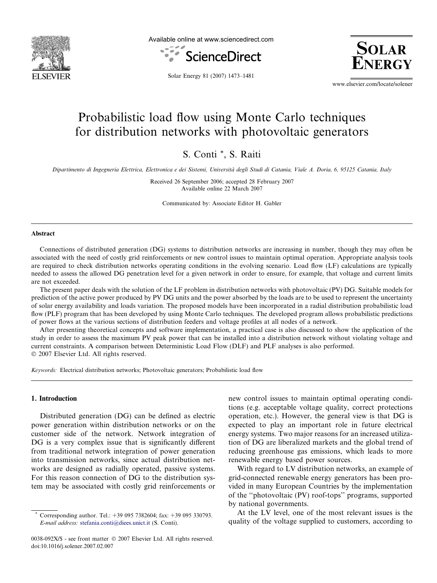

Available online at www.sciencedirect.com



**SOLAR** <sup>T</sup>NERGY

Solar Energy 81 (2007) 1473–1481

www.elsevier.com/locate/solener

# Probabilistic load flow using Monte Carlo techniques for distribution networks with photovoltaic generators

S. Conti \*, S. Raiti

Dipartimento di Ingegneria Elettrica, Elettronica e dei Sistemi, Universita` degli Studi di Catania, Viale A. Doria, 6, 95125 Catania, Italy

Received 26 September 2006; accepted 28 February 2007 Available online 22 March 2007

Communicated by: Associate Editor H. Gabler

#### Abstract

Connections of distributed generation (DG) systems to distribution networks are increasing in number, though they may often be associated with the need of costly grid reinforcements or new control issues to maintain optimal operation. Appropriate analysis tools are required to check distribution networks operating conditions in the evolving scenario. Load flow (LF) calculations are typically needed to assess the allowed DG penetration level for a given network in order to ensure, for example, that voltage and current limits are not exceeded.

The present paper deals with the solution of the LF problem in distribution networks with photovoltaic (PV) DG. Suitable models for prediction of the active power produced by PV DG units and the power absorbed by the loads are to be used to represent the uncertainty of solar energy availability and loads variation. The proposed models have been incorporated in a radial distribution probabilistic load flow (PLF) program that has been developed by using Monte Carlo techniques. The developed program allows probabilistic predictions of power flows at the various sections of distribution feeders and voltage profiles at all nodes of a network.

After presenting theoretical concepts and software implementation, a practical case is also discussed to show the application of the study in order to assess the maximum PV peak power that can be installed into a distribution network without violating voltage and current constraints. A comparison between Deterministic Load Flow (DLF) and PLF analyses is also performed.  $© 2007 Elsevier Ltd. All rights reserved.$ 

Keywords: Electrical distribution networks; Photovoltaic generators; Probabilistic load flow

### 1. Introduction

Distributed generation (DG) can be defined as electric power generation within distribution networks or on the customer side of the network. Network integration of DG is a very complex issue that is significantly different from traditional network integration of power generation into transmission networks, since actual distribution networks are designed as radially operated, passive systems. For this reason connection of DG to the distribution system may be associated with costly grid reinforcements or

new control issues to maintain optimal operating conditions (e.g. acceptable voltage quality, correct protections operation, etc.). However, the general view is that DG is expected to play an important role in future electrical energy systems. Two major reasons for an increased utilization of DG are liberalized markets and the global trend of reducing greenhouse gas emissions, which leads to more renewable energy based power sources.

With regard to LV distribution networks, an example of grid-connected renewable energy generators has been provided in many European Countries by the implementation of the ''photovoltaic (PV) roof-tops'' programs, supported by national governments.

At the LV level, one of the most relevant issues is the quality of the voltage supplied to customers, according to

<sup>\*</sup> Corresponding author. Tel.: +39 095 7382604; fax: +39 095 330793. E-mail address: [stefania.conti@diees.unict.it](mailto:stefania.conti@diees.unict.it) (S. Conti).

<sup>0038-092</sup>X/\$ - see front matter © 2007 Elsevier Ltd. All rights reserved. doi:10.1016/j.solener.2007.02.007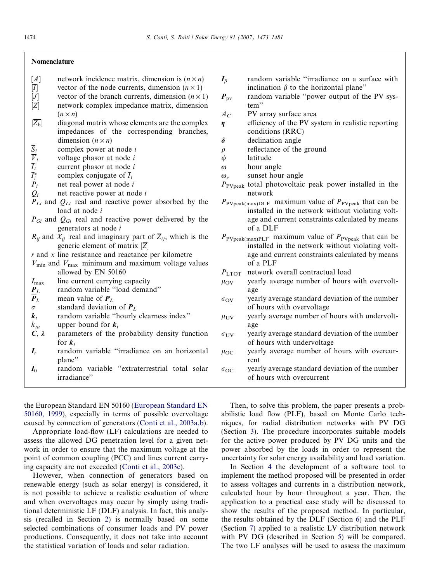### Nomenclature

- [A] network incidence matrix, dimension is  $(n \times n)$
- $[I]$ vector of the node currents, dimension  $(n \times 1)$
- $[J]$ vector of the branch currents, dimension  $(n \times 1)$
- $[Z]$  network complex impedance matrix, dimension  $(n \times n)$
- $|Z_{\rm b}|$  diagonal matrix whose elements are the complex impedances of the corresponding branches, dimension  $(n \times n)$
- complex power at node  $i$
- voltage phasor at node  $i$
- current phasor at node  $i$  $\frac{\overline{S}_i}{\overline{V}_i}$ <br> $\frac{\overline{I}_i}{\overline{I}_i^*}$ <br> $\frac{\overline{I}_i}{P_i}$
- complex conjugate of  $\overline{I}_i$
- net real power at node  $i$
- $Q_i$  net reactive power at node i
- $P_{Li}$  and  $Q_{Li}$  real and reactive power absorbed by the load at node i
- $P_{Gi}$  and  $Q_{Gi}$  real and reactive power delivered by the generators at node i
- $R_{ij}$  and  $X_{ij}$  real and imaginary part of  $\overline{Z}_{ij}$ , which is the generic element of matrix  $[Z]$
- $r$  and  $x$  line resistance and reactance per kilometre
- $V_{\text{min}}$  and  $V_{\text{max}}$  minimum and maximum voltage values allowed by EN 50160
- 
- $I_{\text{max}}$  line current carrying capacity<br>  $P_L$  random variable "load deman<br>  $\overline{P}_L$  mean value of  $P_L$ random variable "load demand"
- mean value of  $P_L$
- $\sigma$  standard deviation of  $P_L$ <br> $k_t$  random variable "hourly
- $k_t$  random variable "hourly clearness index"<br> $k_{tu}$  upper bound for  $k_t$
- $k_{tu}$  upper bound for  $k_t$ <br>**C**,  $\lambda$  parameters of the j
- parameters of the probability density function for  $k_t$
- $I_t$  random variable "irradiance on an horizontal plane''
- $I<sub>0</sub>$  random variable "extraterrestrial total solar irradiance''

the European Standard EN 50160 ([European Standard EN](#page--1-0) [50160, 1999\)](#page--1-0), especially in terms of possible overvoltage caused by connection of generators [\(Conti et al., 2003a,b\)](#page--1-0).

Appropriate load-flow (LF) calculations are needed to assess the allowed DG penetration level for a given network in order to ensure that the maximum voltage at the point of common coupling (PCC) and lines current carrying capacity are not exceeded ([Conti et al., 2003c\)](#page--1-0).

However, when connection of generators based on renewable energy (such as solar energy) is considered, it is not possible to achieve a realistic evaluation of where and when overvoltages may occur by simply using traditional deterministic LF (DLF) analysis. In fact, this analysis (recalled in Section [2\)](#page--1-0) is normally based on some selected combinations of consumer loads and PV power productions. Consequently, it does not take into account the statistical variation of loads and solar radiation.

- $I_{\beta}$  random variable "irradiance on a surface with inclination  $\beta$  to the horizontal plane"
- $P_{\text{pv}}$  random variable "power output of the PV system''
- $A_C$  PV array surface area
- $\eta$  efficiency of the PV system in realistic reporting conditions (RRC)
- $\delta$  declination angle
- $\rho$  reflectance of the ground
- $\phi$  latitude
- $\omega$  hour angle
- $\omega_s$  sunset hour angle
- $P_{\text{PVpeak}}$  total photovoltaic peak power installed in the network
- $P_{\text{PVpeak}(\text{max})\text{DLF}}$  maximum value of  $P_{\text{PVpeak}}$  that can be installed in the network without violating voltage and current constraints calculated by means of a DLF
- $P_{\text{PVpeak(max)}PLF}$  maximum value of  $P_{\text{PVpeak}}$  that can be installed in the network without violating voltage and current constraints calculated by means of a PLF
- P<sub>LTOT</sub> network overall contractual load
- $\mu_{\text{OV}}$  yearly average number of hours with overvoltage
- $\sigma_{\rm OV}$  yearly average standard deviation of the number of hours with overvoltage
- $\mu_{\text{UV}}$  yearly average number of hours with undervoltage
- $\sigma_{UV}$  yearly average standard deviation of the number of hours with undervoltage
- $\mu_{\rm OC}$  yearly average number of hours with overcurrent
- $\sigma_{OC}$  vearly average standard deviation of the number of hours with overcurrent

Then, to solve this problem, the paper presents a probabilistic load flow (PLF), based on Monte Carlo techniques, for radial distribution networks with PV DG (Section [3](#page--1-0)). The procedure incorporates suitable models for the active power produced by PV DG units and the power absorbed by the loads in order to represent the uncertainty for solar energy availability and load variation.

In Section [4](#page--1-0) the development of a software tool to implement the method proposed will be presented in order to assess voltages and currents in a distribution network, calculated hour by hour throughout a year. Then, the application to a practical case study will be discussed to show the results of the proposed method. In particular, the results obtained by the DLF (Section [6\)](#page--1-0) and the PLF (Section [7](#page--1-0)) applied to a realistic LV distribution network with PV DG (described in Section [5](#page--1-0)) will be compared. The two LF analyses will be used to assess the maximum